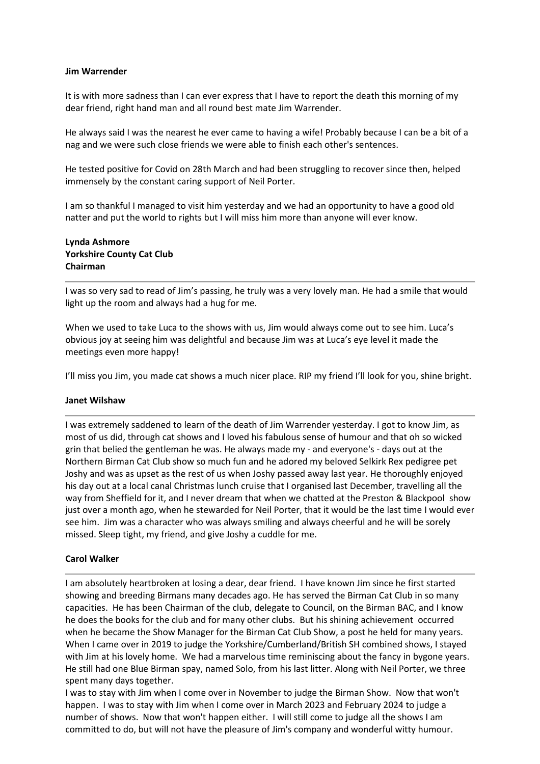#### Jim Warrender

It is with more sadness than I can ever express that I have to report the death this morning of my dear friend, right hand man and all round best mate Jim Warrender.

He always said I was the nearest he ever came to having a wife! Probably because I can be a bit of a nag and we were such close friends we were able to finish each other's sentences.

He tested positive for Covid on 28th March and had been struggling to recover since then, helped immensely by the constant caring support of Neil Porter.

I am so thankful I managed to visit him yesterday and we had an opportunity to have a good old natter and put the world to rights but I will miss him more than anyone will ever know.

## Lynda Ashmore Yorkshire County Cat Club Chairman

I was so very sad to read of Jim's passing, he truly was a very lovely man. He had a smile that would light up the room and always had a hug for me.

When we used to take Luca to the shows with us, Jim would always come out to see him. Luca's obvious joy at seeing him was delightful and because Jim was at Luca's eye level it made the meetings even more happy!

I'll miss you Jim, you made cat shows a much nicer place. RIP my friend I'll look for you, shine bright.

### Janet Wilshaw

I was extremely saddened to learn of the death of Jim Warrender yesterday. I got to know Jim, as most of us did, through cat shows and I loved his fabulous sense of humour and that oh so wicked grin that belied the gentleman he was. He always made my - and everyone's - days out at the Northern Birman Cat Club show so much fun and he adored my beloved Selkirk Rex pedigree pet Joshy and was as upset as the rest of us when Joshy passed away last year. He thoroughly enjoyed his day out at a local canal Christmas lunch cruise that I organised last December, travelling all the way from Sheffield for it, and I never dream that when we chatted at the Preston & Blackpool show just over a month ago, when he stewarded for Neil Porter, that it would be the last time I would ever see him. Jim was a character who was always smiling and always cheerful and he will be sorely missed. Sleep tight, my friend, and give Joshy a cuddle for me.

### Carol Walker

I am absolutely heartbroken at losing a dear, dear friend. I have known Jim since he first started showing and breeding Birmans many decades ago. He has served the Birman Cat Club in so many capacities. He has been Chairman of the club, delegate to Council, on the Birman BAC, and I know he does the books for the club and for many other clubs. But his shining achievement occurred when he became the Show Manager for the Birman Cat Club Show, a post he held for many years. When I came over in 2019 to judge the Yorkshire/Cumberland/British SH combined shows, I stayed with Jim at his lovely home. We had a marvelous time reminiscing about the fancy in bygone years. He still had one Blue Birman spay, named Solo, from his last litter. Along with Neil Porter, we three spent many days together.

I was to stay with Jim when I come over in November to judge the Birman Show. Now that won't happen. I was to stay with Jim when I come over in March 2023 and February 2024 to judge a number of shows. Now that won't happen either. I will still come to judge all the shows I am committed to do, but will not have the pleasure of Jim's company and wonderful witty humour.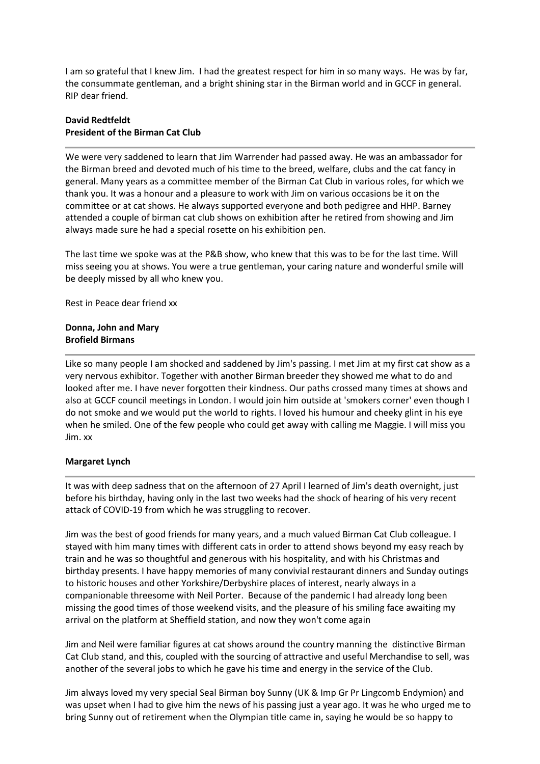I am so grateful that I knew Jim. I had the greatest respect for him in so many ways. He was by far, the consummate gentleman, and a bright shining star in the Birman world and in GCCF in general. RIP dear friend.

# David Redtfeldt President of the Birman Cat Club

We were very saddened to learn that Jim Warrender had passed away. He was an ambassador for the Birman breed and devoted much of his time to the breed, welfare, clubs and the cat fancy in general. Many years as a committee member of the Birman Cat Club in various roles, for which we thank you. It was a honour and a pleasure to work with Jim on various occasions be it on the committee or at cat shows. He always supported everyone and both pedigree and HHP. Barney attended a couple of birman cat club shows on exhibition after he retired from showing and Jim always made sure he had a special rosette on his exhibition pen.

The last time we spoke was at the P&B show, who knew that this was to be for the last time. Will miss seeing you at shows. You were a true gentleman, your caring nature and wonderful smile will be deeply missed by all who knew you.

Rest in Peace dear friend xx

### Donna, John and Mary Brofield Birmans

Like so many people I am shocked and saddened by Jim's passing. I met Jim at my first cat show as a very nervous exhibitor. Together with another Birman breeder they showed me what to do and looked after me. I have never forgotten their kindness. Our paths crossed many times at shows and also at GCCF council meetings in London. I would join him outside at 'smokers corner' even though I do not smoke and we would put the world to rights. I loved his humour and cheeky glint in his eye when he smiled. One of the few people who could get away with calling me Maggie. I will miss you Jim. xx

### Margaret Lynch

It was with deep sadness that on the afternoon of 27 April I learned of Jim's death overnight, just before his birthday, having only in the last two weeks had the shock of hearing of his very recent attack of COVID-19 from which he was struggling to recover.

Jim was the best of good friends for many years, and a much valued Birman Cat Club colleague. I stayed with him many times with different cats in order to attend shows beyond my easy reach by train and he was so thoughtful and generous with his hospitality, and with his Christmas and birthday presents. I have happy memories of many convivial restaurant dinners and Sunday outings to historic houses and other Yorkshire/Derbyshire places of interest, nearly always in a companionable threesome with Neil Porter. Because of the pandemic I had already long been missing the good times of those weekend visits, and the pleasure of his smiling face awaiting my arrival on the platform at Sheffield station, and now they won't come again

Jim and Neil were familiar figures at cat shows around the country manning the distinctive Birman Cat Club stand, and this, coupled with the sourcing of attractive and useful Merchandise to sell, was another of the several jobs to which he gave his time and energy in the service of the Club.

Jim always loved my very special Seal Birman boy Sunny (UK & Imp Gr Pr Lingcomb Endymion) and was upset when I had to give him the news of his passing just a year ago. It was he who urged me to bring Sunny out of retirement when the Olympian title came in, saying he would be so happy to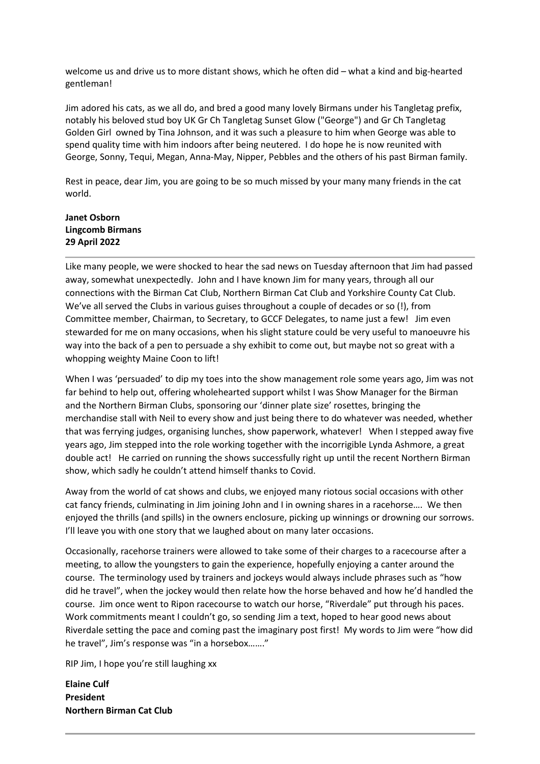welcome us and drive us to more distant shows, which he often did – what a kind and big-hearted gentleman!

Jim adored his cats, as we all do, and bred a good many lovely Birmans under his Tangletag prefix, notably his beloved stud boy UK Gr Ch Tangletag Sunset Glow ("George") and Gr Ch Tangletag Golden Girl owned by Tina Johnson, and it was such a pleasure to him when George was able to spend quality time with him indoors after being neutered. I do hope he is now reunited with George, Sonny, Tequi, Megan, Anna-May, Nipper, Pebbles and the others of his past Birman family.

Rest in peace, dear Jim, you are going to be so much missed by your many many friends in the cat world.

# Janet Osborn Lingcomb Birmans 29 April 2022

Like many people, we were shocked to hear the sad news on Tuesday afternoon that Jim had passed away, somewhat unexpectedly. John and I have known Jim for many years, through all our connections with the Birman Cat Club, Northern Birman Cat Club and Yorkshire County Cat Club. We've all served the Clubs in various guises throughout a couple of decades or so (!), from Committee member, Chairman, to Secretary, to GCCF Delegates, to name just a few! Jim even stewarded for me on many occasions, when his slight stature could be very useful to manoeuvre his way into the back of a pen to persuade a shy exhibit to come out, but maybe not so great with a whopping weighty Maine Coon to lift!

When I was 'persuaded' to dip my toes into the show management role some years ago, Jim was not far behind to help out, offering wholehearted support whilst I was Show Manager for the Birman and the Northern Birman Clubs, sponsoring our 'dinner plate size' rosettes, bringing the merchandise stall with Neil to every show and just being there to do whatever was needed, whether that was ferrying judges, organising lunches, show paperwork, whatever! When I stepped away five years ago, Jim stepped into the role working together with the incorrigible Lynda Ashmore, a great double act! He carried on running the shows successfully right up until the recent Northern Birman show, which sadly he couldn't attend himself thanks to Covid.

Away from the world of cat shows and clubs, we enjoyed many riotous social occasions with other cat fancy friends, culminating in Jim joining John and I in owning shares in a racehorse…. We then enjoyed the thrills (and spills) in the owners enclosure, picking up winnings or drowning our sorrows. I'll leave you with one story that we laughed about on many later occasions.

Occasionally, racehorse trainers were allowed to take some of their charges to a racecourse after a meeting, to allow the youngsters to gain the experience, hopefully enjoying a canter around the course. The terminology used by trainers and jockeys would always include phrases such as "how did he travel", when the jockey would then relate how the horse behaved and how he'd handled the course. Jim once went to Ripon racecourse to watch our horse, "Riverdale" put through his paces. Work commitments meant I couldn't go, so sending Jim a text, hoped to hear good news about Riverdale setting the pace and coming past the imaginary post first! My words to Jim were "how did he travel", Jim's response was "in a horsebox……."

RIP Jim, I hope you're still laughing xx

Elaine Culf President Northern Birman Cat Club